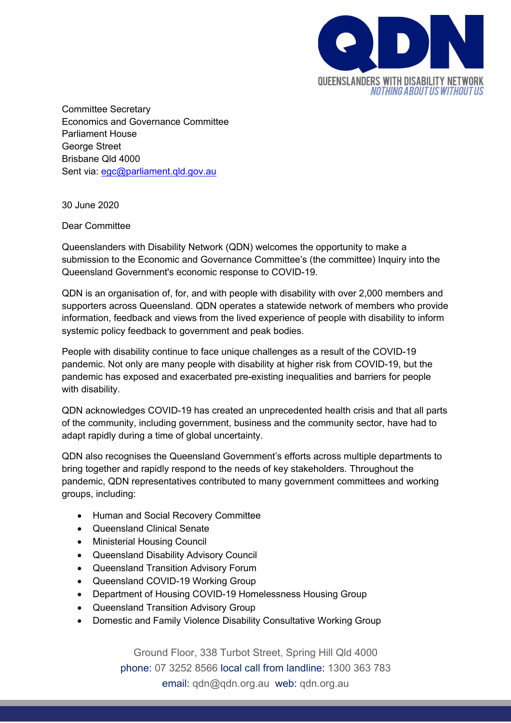

Committee Secretary Economics and Governance Committee Parliament House George Street Brisbane Qld 4000 Sent via: egc@parliament.qld.gov.au

30 June 2020

## Dear Committee

Queenslanders with Disability Network (QDN) welcomes the opportunity to make a submission to the Economic and Governance Committee's (the committee) Inquiry into the Queensland Government's economic response to COVID-19.

QDN is an organisation of, for, and with people with disability with over 2,000 members and supporters across Queensland. QDN operates a statewide network of members who provide information, feedback and views from the lived experience of people with disability to inform systemic policy feedback to government and peak bodies.

People with disability continue to face unique challenges as a result of the COVID-19 pandemic. Not only are many people with disability at higher risk from COVID-19, but the pandemic has exposed and exacerbated pre-existing inequalities and barriers for people with disability.

QDN acknowledges COVID-19 has created an unprecedented health crisis and that all parts of the community, including government, business and the community sector, have had to adapt rapidly during a time of global uncertainty.

QDN also recognises the Queensland Government's efforts across multiple departments to bring together and rapidly respond to the needs of key stakeholders. Throughout the pandemic, QDN representatives contributed to many government committees and working groups, including:

- Human and Social Recovery Committee
- Queensland Clinical Senate
- Ministerial Housing Council
- Queensland Disability Advisory Council
- Queensland Transition Advisory Forum
- Queensland COVID-19 Working Group
- Department of Housing COVID-19 Homelessness Housing Group
- Queensland Transition Advisory Group
- Domestic and Family Violence Disability Consultative Working Group

Ground Floor, 338 Turbot Street, Spring Hill Qld 4000 phone: 07 3252 8566 local call from landline: 1300 363 783 email: qdn@qdn.org.au web: qdn.org.au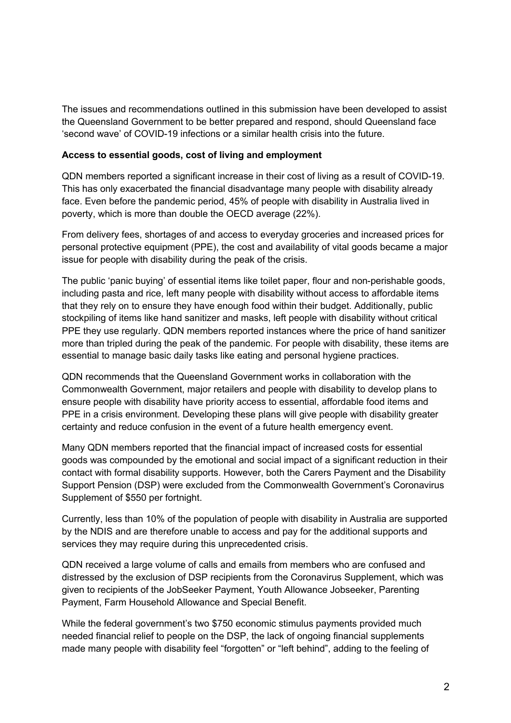The issues and recommendations outlined in this submission have been developed to assist the Queensland Government to be better prepared and respond, should Queensland face 'second wave' of COVID-19 infections or a similar health crisis into the future.

### **Access to essential goods, cost of living and employment**

QDN members reported a significant increase in their cost of living as a result of COVID-19. This has only exacerbated the financial disadvantage many people with disability already face. Even before the pandemic period, 45% of people with disability in Australia lived in poverty, which is more than double the OECD average (22%).

From delivery fees, shortages of and access to everyday groceries and increased prices for personal protective equipment (PPE), the cost and availability of vital goods became a major issue for people with disability during the peak of the crisis.

The public 'panic buying' of essential items like toilet paper, flour and non-perishable goods, including pasta and rice, left many people with disability without access to affordable items that they rely on to ensure they have enough food within their budget. Additionally, public stockpiling of items like hand sanitizer and masks, left people with disability without critical PPE they use regularly. QDN members reported instances where the price of hand sanitizer more than tripled during the peak of the pandemic. For people with disability, these items are essential to manage basic daily tasks like eating and personal hygiene practices.

QDN recommends that the Queensland Government works in collaboration with the Commonwealth Government, major retailers and people with disability to develop plans to ensure people with disability have priority access to essential, affordable food items and PPE in a crisis environment. Developing these plans will give people with disability greater certainty and reduce confusion in the event of a future health emergency event.

Many QDN members reported that the financial impact of increased costs for essential goods was compounded by the emotional and social impact of a significant reduction in their contact with formal disability supports. However, both the Carers Payment and the Disability Support Pension (DSP) were excluded from the Commonwealth Government's Coronavirus Supplement of \$550 per fortnight.

Currently, less than 10% of the population of people with disability in Australia are supported by the NDIS and are therefore unable to access and pay for the additional supports and services they may require during this unprecedented crisis.

QDN received a large volume of calls and emails from members who are confused and distressed by the exclusion of DSP recipients from the Coronavirus Supplement, which was given to recipients of the JobSeeker Payment, Youth Allowance Jobseeker, Parenting Payment, Farm Household Allowance and Special Benefit.

While the federal government's two \$750 economic stimulus payments provided much needed financial relief to people on the DSP, the lack of ongoing financial supplements made many people with disability feel "forgotten" or "left behind", adding to the feeling of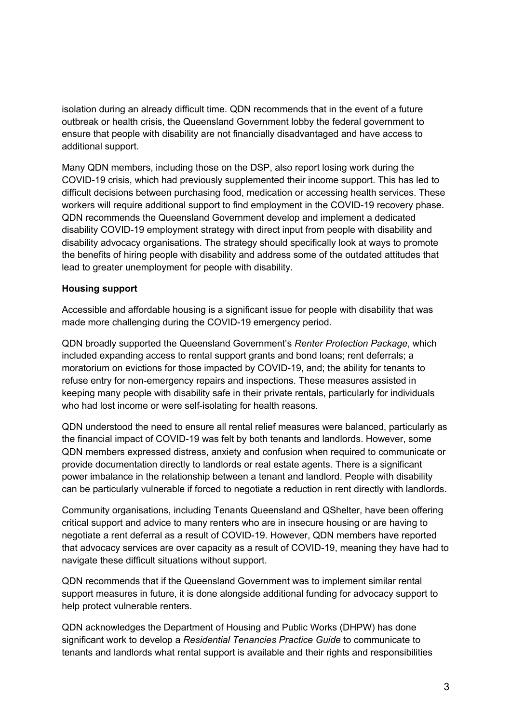isolation during an already difficult time. QDN recommends that in the event of a future outbreak or health crisis, the Queensland Government lobby the federal government to ensure that people with disability are not financially disadvantaged and have access to additional support.

Many QDN members, including those on the DSP, also report losing work during the COVID-19 crisis, which had previously supplemented their income support. This has led to difficult decisions between purchasing food, medication or accessing health services. These workers will require additional support to find employment in the COVID-19 recovery phase. QDN recommends the Queensland Government develop and implement a dedicated disability COVID-19 employment strategy with direct input from people with disability and disability advocacy organisations. The strategy should specifically look at ways to promote the benefits of hiring people with disability and address some of the outdated attitudes that lead to greater unemployment for people with disability.

# **Housing support**

Accessible and affordable housing is a significant issue for people with disability that was made more challenging during the COVID-19 emergency period.

QDN broadly supported the Queensland Government's *Renter Protection Package*, which included expanding access to rental support grants and bond loans; rent deferrals; a moratorium on evictions for those impacted by COVID-19, and; the ability for tenants to refuse entry for non-emergency repairs and inspections. These measures assisted in keeping many people with disability safe in their private rentals, particularly for individuals who had lost income or were self-isolating for health reasons.

QDN understood the need to ensure all rental relief measures were balanced, particularly as the financial impact of COVID-19 was felt by both tenants and landlords. However, some QDN members expressed distress, anxiety and confusion when required to communicate or provide documentation directly to landlords or real estate agents. There is a significant power imbalance in the relationship between a tenant and landlord. People with disability can be particularly vulnerable if forced to negotiate a reduction in rent directly with landlords.

Community organisations, including Tenants Queensland and QShelter, have been offering critical support and advice to many renters who are in insecure housing or are having to negotiate a rent deferral as a result of COVID-19. However, QDN members have reported that advocacy services are over capacity as a result of COVID-19, meaning they have had to navigate these difficult situations without support.

QDN recommends that if the Queensland Government was to implement similar rental support measures in future, it is done alongside additional funding for advocacy support to help protect vulnerable renters.

QDN acknowledges the Department of Housing and Public Works (DHPW) has done significant work to develop a *Residential Tenancies Practice Guide* to communicate to tenants and landlords what rental support is available and their rights and responsibilities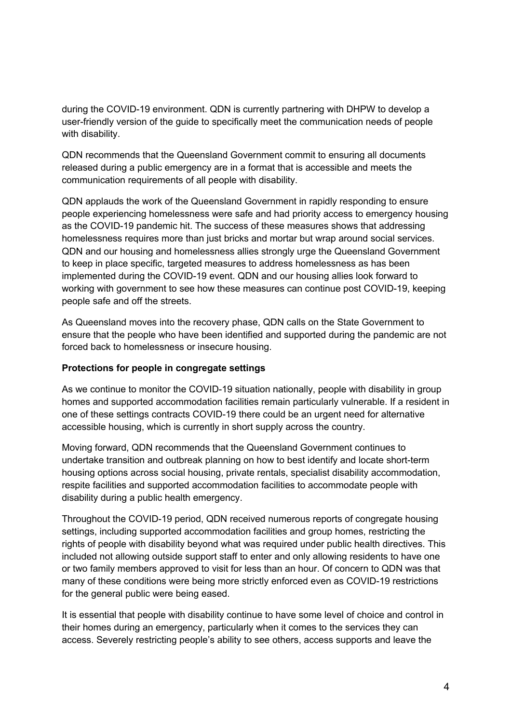during the COVID-19 environment. QDN is currently partnering with DHPW to develop a user-friendly version of the guide to specifically meet the communication needs of people with disability.

QDN recommends that the Queensland Government commit to ensuring all documents released during a public emergency are in a format that is accessible and meets the communication requirements of all people with disability.

QDN applauds the work of the Queensland Government in rapidly responding to ensure people experiencing homelessness were safe and had priority access to emergency housing as the COVID-19 pandemic hit. The success of these measures shows that addressing homelessness requires more than just bricks and mortar but wrap around social services. QDN and our housing and homelessness allies strongly urge the Queensland Government to keep in place specific, targeted measures to address homelessness as has been implemented during the COVID-19 event. QDN and our housing allies look forward to working with government to see how these measures can continue post COVID-19, keeping people safe and off the streets.

As Queensland moves into the recovery phase, QDN calls on the State Government to ensure that the people who have been identified and supported during the pandemic are not forced back to homelessness or insecure housing.

## **Protections for people in congregate settings**

As we continue to monitor the COVID-19 situation nationally, people with disability in group homes and supported accommodation facilities remain particularly vulnerable. If a resident in one of these settings contracts COVID-19 there could be an urgent need for alternative accessible housing, which is currently in short supply across the country.

Moving forward, QDN recommends that the Queensland Government continues to undertake transition and outbreak planning on how to best identify and locate short-term housing options across social housing, private rentals, specialist disability accommodation, respite facilities and supported accommodation facilities to accommodate people with disability during a public health emergency.

Throughout the COVID-19 period, QDN received numerous reports of congregate housing settings, including supported accommodation facilities and group homes, restricting the rights of people with disability beyond what was required under public health directives. This included not allowing outside support staff to enter and only allowing residents to have one or two family members approved to visit for less than an hour. Of concern to QDN was that many of these conditions were being more strictly enforced even as COVID-19 restrictions for the general public were being eased.

It is essential that people with disability continue to have some level of choice and control in their homes during an emergency, particularly when it comes to the services they can access. Severely restricting people's ability to see others, access supports and leave the